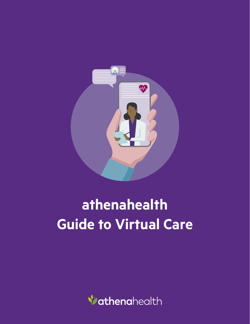

# **athenahealth Guide to Virtual Care**

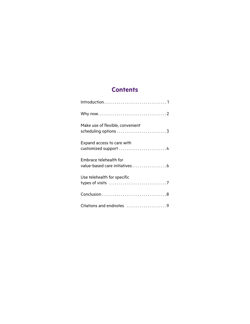# **Contents**

| Make use of flexible, convenient                        |
|---------------------------------------------------------|
| Expand access to care with<br>customized support 4      |
| Embrace telehealth for<br>value-based care initiatives6 |
| Use telehealth for specific                             |
|                                                         |
| Citations and endnotes 9                                |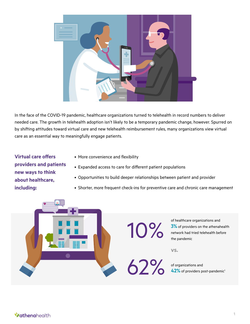

In the face of the COVID-19 pandemic, healthcare organizations turned to telehealth in record numbers to deliver needed care. The growth in telehealth adoption isn't likely to be a temporary pandemic change, however. Spurred on by shifting attitudes toward virtual care and new telehealth reimbursement rules, many organizations view virtual care as an essential way to meaningfully engage patients.

**Virtual care offers providers and patients new ways to think about healthcare, including:**

- More convenience and flexibility
- Expanded access to care for different patient populations
- Opportunities to build deeper relationships between patient and provider
- Shorter, more frequent check-ins for preventive care and chronic care management

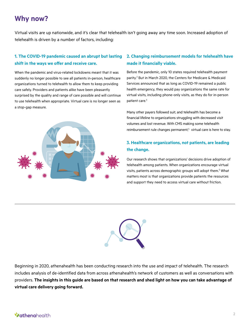# **Why now?**

Virtual visits are up nationwide, and it's clear that telehealth isn't going away any time soon. Increased adoption of telehealth is driven by a number of factors, including:

# **1. The COVID-19 pandemic caused an abrupt but lasting shift in the ways we offer and receive care.**

When the pandemic and virus-related lockdowns meant that it was suddenly no longer possible to see all patients in-person, healthcare organizations turned to telehealth to allow them to keep providing care safely. Providers and patients alike have been pleasantly surprised by the quality and range of care possible and will continue to use telehealth when appropriate. Virtual care is no longer seen as a stop-gap measure.



## **2. Changing reimbursement models for telehealth have made it financially viable.**

Before the pandemic, only 10 states required telehealth payment parity.<sup>2</sup> But in March 2020, the Centers for Medicare & Medicaid Services announced that as long as COVID-19 remained a public health emergency, they would pay organizations the same rate for virtual visits, including phone-only visits, as they do for in-person patient care.<sup>3</sup>

Many other payers followed suit, and telehealth has become a financial lifeline to organizations struggling with decreased visit volumes and lost revenue. With CMS making some telehealth reimbursement rule changes permanent,<sup>4</sup> virtual care is here to stay.

# **3. Healthcare organizations, not patients, are leading the change.**

Our research shows that organizations' decisions drive adoption of telehealth among patients. When organizations encourage virtual visits, patients across demographic groups will adopt them.<sup>5</sup> What matters most is that organizations provide patients the resources and support they need to access virtual care without friction.



Beginning in 2020, athenahealth has been conducting research into the use and impact of telehealth. The research includes analysis of de-identified data from across athenahealth's network of customers as well as conversations with providers. **The insights in this guide are based on that research and shed light on how you can take advantage of virtual care delivery going forward.**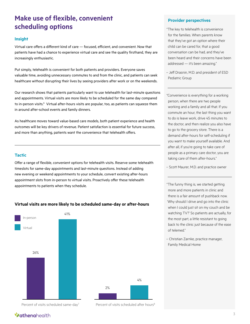# **Make use of flexible, convenient scheduling options**

#### **Insight**

Virtual care offers a different kind of care — focused, efficient, and convenient. Now that patients have had a chance to experience virtual care and see the quality firsthand, they are increasingly enthusiastic.

Put simply, telehealth is convenient for both patients and providers. Everyone saves valuable time, avoiding unnecessary commutes to and from the clinic, and patients can seek healthcare without disrupting their lives by seeing providers after work or on the weekends.

Our research shows that patients particularly want to use telehealth for last-minute questions and appointments. Virtual visits are more likely to be scheduled for the same day compared to in-person visits.<sup>6</sup> Virtual after-hours visits are popular, too, as patients can squeeze them in around after-school events and family dinners.

As healthcare moves toward value-based care models, both patient experience and health outcomes will be key drivers of revenue. Patient satisfaction is essential for future success, and more than anything, patients want the convenience that telehealth offers.

### **Tactic**

Offer a range of flexible, convenient options for telehealth visits. Reserve some telehealth timeslots for same-day appointments and last-minute questions. Instead of adding new evening or weekend appointments to your schedule, convert existing after-hours appointment slots from in-person to virtual visits. Proactively offer these telehealth appointments to patients when they schedule.

### **Virtual visits are more likely to be scheduled same-day or after-hours**





Percent of visits scheduled same-day<sup>7</sup> Percent of visits scheduled after hours<sup>8</sup>

#### **Provider perspectives**

"The key to telehealth is convenience for the families. When parents know that they've got an option where their child can be cared for, that a good conversation can be had, and they've been heard and their concerns have been addressed — it's been amazing."

– Jeff Drasnin, M.D. and president of ESD Pediatric Group

"Convenience is everything for a working person, when there are two people working and a family and all that. If you commute an hour, the last thing you want to do is leave work, drive 45 minutes to the doctor, and then realize you also have to go to the grocery store. There is a demand after-hours for self-scheduling if you want to make yourself available. And after all, if you're going to take care of people as a primary care doctor, you are taking care of them after-hours."

– Scott Maurer, M.D. and practice owner

"The funny thing is, we started getting more and more patients in clinic and there is a fair amount of pushback now. 'Why should I drive and go into the clinic when I could just sit on my couch and be watching TV?' So patients are actually, for the most part, a little resistant to going back to the clinic just because of the ease of telemed."

– Christian Zarnke, practice manager, Family Medical Home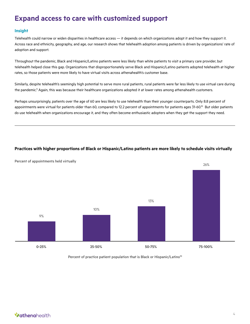# **Expand access to care with customized support**

## **Insight**

Telehealth could narrow or widen disparities in healthcare access — it depends on which organizations adopt it and how they support it. Across race and ethnicity, geography, and age, our research shows that telehealth adoption among patients is driven by organizations' rate of adoption and support.

Throughout the pandemic, Black and Hispanic/Latino patients were less likely than white patients to visit a primary care provider, but telehealth helped close this gap. Organizations that disproportionately serve Black and Hispanic/Latino patients adopted telehealth at higher rates, so those patients were more likely to have virtual visits across athenahealth's customer base.

Similarly, despite telehealth's seemingly high potential to serve more rural patients, rural patients were far less likely to use virtual care during the pandemic.<sup>9</sup> Again, this was because their healthcare organizations adopted it at lower rates among athenahealth customers.

Perhaps unsurprisingly, patients over the age of 60 are less likely to use telehealth than their younger counterparts. Only 8.8 percent of appointments were virtual for patients older than 60, compared to 12.2 percent of appointments for patients ages 31-60.<sup>10</sup> But older patients do use telehealth when organizations encourage it, and they often become enthusiastic adopters when they get the support they need.

## **Practices with higher proportions of Black or Hispanic/Latino patients are more likely to schedule visits virtually**



Percent of appointments held virtually

Percent of practice patient population that is Black or Hispanic/Latino<sup>10</sup>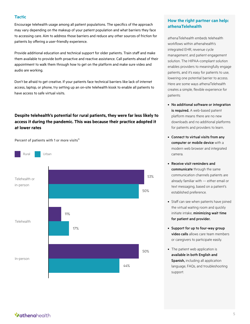#### **Tactic**

Encourage telehealth usage among all patient populations. The specifics of the approach may vary depending on the makeup of your patient population and what barriers they face to accessing care. Aim to address those barriers and reduce any other sources of friction for patients by offering a user-friendly experience.

Provide additional education and technical support for older patients. Train staff and make them available to provide both proactive and reactive assistance. Call patients ahead of their appointment to walk them through how to get on the platform and make sure video and audio are working.

Don't be afraid to get creative. If your patients face technical barriers like lack of internet access, laptop, or phone, try setting up an on-site telehealth kiosk to enable all patients to have access to safe virtual visits.

## **Despite telehealth's potential for rural patients, they were far less likely to access it during the pandemic. This was because their practice adopted it at lower rates**

Percent of patients with 1 or more visits $11$ 



## **How the right partner can help: athenaTelehealth**

athenaTelehealth embeds telehealth workflows within athenahealth's integrated EHR, revenue cycle management, and patient engagement solution. The HIPAA-compliant solution enables providers to meaningfully engage patients, and it's easy for patients to use, lowering one potential barrier to access. Here are some ways athenaTelehealth creates a simple, flexible experience for patients:

- No additional software or integration is required. A web-based patient platform means there are no new downloads and no additional platforms for patients and providers to learn.
- Connect to virtual visits from any computer or mobile device with a modern web browser and integrated camera.
- Receive visit reminders and communicate through the same communication channels patients are already familiar with — either email or text messaging, based on a patient's established preference.
- Staff can see when patients have joined the virtual waiting room and quickly initiate intake, minimizing wait time for patient and provider.
- Support for up to four-way group video calls allows care team members or caregivers to participate easily.
- The patient web application is available in both English and Spanish, including all application language, FAQs, and troubleshooting support.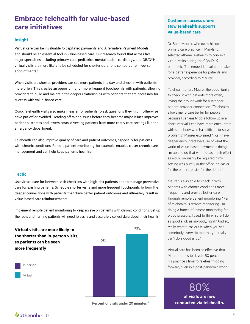# **Embrace telehealth for value-based care initiatives**

### **Insight**

Virtual care can be invaluable to capitated payments and Alternative Payment Models and should be an essential tool in value-based care. Our research found that across five major specialties including primary care, pediatrics, mental health, cardiology, and OB/GYN, virtual visits are more likely to be scheduled for shorter durations compared to in-person appointments.12

When visits are shorter, providers can see more patients in a day and check in with patients more often. This creates an opportunity for more frequent touchpoints with patients, allowing providers to build and maintain the deeper relationships with patients that are necessary for success with value-based care.

Quick telehealth visits also make it easier for patients to ask questions they might otherwise have put off or avoided. Heading off minor issues before they become major issues improves patient outcomes and lowers costs, diverting patients from more costly care settings like the emergency department.

Telehealth can also improve quality of care and patient outcomes, especially for patients with chronic conditions. Remote patient monitoring, for example, enables closer chronic care management and can help keep patients healthier.

### **Tactic**

Use virtual care for between-visit check-ins with high-risk patients and to manage preventive care for existing patients. Schedule shorter visits and more frequent touchpoints to form the deeper connections with patients that drive better patient outcomes and ultimately result in value-based care reimbursements.

Implement remote patient monitoring to keep an eye on patients with chronic conditions. Set up the tools and training patients will need to easily and accurately collect data about their health.



Percent of visits under 20 minutes<sup>13</sup>

## **Customer success story: How telehealth supports value-based care**

Dr. Scott Maurer, who owns his own primary care practice in Maryland, selected athenaTelehealth to conduct virtual visits during the COVID-19 pandemic. The embedded solution makes for a better experience for patients and provider, according to Maurer.

Telehealth offers Maurer the opportunity to check in with patients more often, laying the groundwork for a stronger patient-provider connection. "Telehealth allows me to care better for people because I can easily do a follow-up in a short interval. I can have more encounters with somebody who has difficult-to-solve problems," Maurer explained. "I can have deeper encounters because of what the world of value-based payment is doing. I'm able to do that with not as much effort as would ordinarily be required if my setting was purely in the office. It's easier for the patient, easier for the doctor."

Maurer is also able to check in with patients with chronic conditions more frequently and provide better care through remote patient monitoring. "Part of telehealth is remote monitoring. I'm doing a bunch of remote monitoring for blood pressure. I used to think, sure, I do as good a job as anybody, right? And so, really, what turns out is when you see somebody every six months, you really can't do a good a job."

Virtual care has been so effective that Maurer hopes to devote 50 percent of his practice's time to telehealth going forward, even in a post-pandemic world.

> 80% **of visits are now conducted via telehealth.**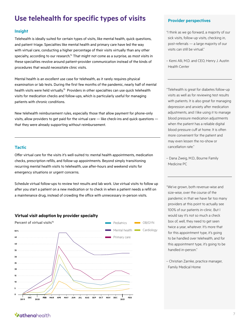# **Use telehealth for specific types of visits**

#### **Insight**

Telehealth is ideally suited for certain types of visits, like mental health, quick questions, and patient triage. Specialties like mental health and primary care have led the way with virtual care, conducting a higher percentage of their visits virtually than any other specialty, according to our research.<sup>14</sup> That might not come as a surprise, as most visits in these specialties revolve around patient-provider communication instead of the kinds of procedures that would necessitate clinic visits.

Mental health is an excellent use case for telehealth, as it rarely requires physical examination or lab tests. During the first few months of the pandemic, nearly half of mental health visits were held virtually.<sup>15</sup> Providers in other specialties can use quick telehealth visits for medication checks and follow-ups, which is particularly useful for managing patients with chronic conditions.

New telehealth reimbursement rules, especially those that allow payment for phone-only visits, allow providers to get paid for the virtual care — like check-ins and quick questions that they were already supporting without reimbursement.

#### **Tactic**

Offer virtual care for the visits it's well-suited to: mental health appointments, medication checks, prescription refills, and follow-up appointments. Beyond simply transitioning recurring mental health visits to telehealth, use after-hours and weekend visits for emergency situations or urgent concerns.

Schedule virtual follow-ups to review test results and lab work. Use virtual visits to follow up after you start a patient on a new medication or to check in when a patient needs a refill on a maintenance drug, instead of crowding the office with unnecessary in-person visits.

#### **Virtual visit adoption by provider specialty**



#### **Provider perspectives**

"I think as we go forward, a majority of our sick visits, follow-up visits, checking in, post-referrals — a large majority of our visits can still be virtual."

– Kemi Alli, M.D. and CEO, Henry J. Austin Health Center

"Telehealth is great for diabetes follow-up visits as well as for reviewing test results with patients. It is also great for managing depression and anxiety after medication adjustments, and I like using it to manage blood pressure medication adjustments when the patient has a reliable digital blood pressure cuff at home. It is often more convenient for the patient and may even lessen the no-show or cancellation rate."

– Dana Zweig, M.D., Bourne Family Medicine PC

"We've grown, both revenue-wise and size-wise, over the course of the pandemic in that we have far too many providers at this point to actually see 100% of our patients in-clinic. But I would say it's not so much a check box of, well, they need to get seen twice a year, whatever. It's more that for this appointment type, it's going to be handled over telehealth, and for this appointment type, it's going to be handled in-person."

– Christian Zarnke, practice manager, Family Medical Home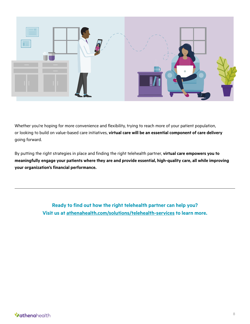

Whether you're hoping for more convenience and flexibility, trying to reach more of your patient population, or looking to build on value-based care initiatives, **virtual care will be an essential component of care delivery** going forward.

By putting the right strategies in place and finding the right telehealth partner, **virtual care empowers you to meaningfully engage your patients where they are and provide essential, high-quality care, all while improving your organization's financial performance.**

> **Ready to find out how the right telehealth partner can help you? Visit us at [athenahealth.com/solutions/telehealth-services](https://www.athenahealth.com/solutions/telehealth-services) to learn more.**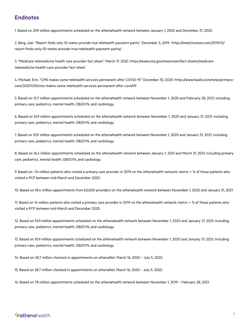# **Endnotes**

1. Based on 209 million appointments scheduled on the athenahealth network between January 1, 2020 and December 31, 2020.

2. Berg, Joel. "Report finds only 10 states provide true telehealth payment parity." December 5, 2019. https://medcitynews.com/2019/12/ report-finds-only-10-states-provide-true-telehealth-payment-parity/

3. "Medicare telemedicine health care provider fact sheet." March 17, 2020. https://www.cms.gov/newsroom/fact-sheets/medicaretelemedicine-health-care-provider-fact-sheet

4. Michael, Erin. "CMS makes some telehealth services permanent after COVID-19." December 10, 2020. https://www.healio.com/news/primarycare/20201210/cms-makes-some-telehealth-services-permanent-after-covid19

5. Based on 13.7 million appointments scheduled on the athenahealth network between November 1, 2020 and February 28, 2021; including primary care, pediatrics, mental health, OB/GYN, and cardiology.

6. Based on 10.9 million appointments scheduled on the athenahealth network between November 1, 2020 and January 31, 2021; including primary care, pediatrics, mental health, OB/GYN, and cardiology.

7. Based on 10.9 million appointments scheduled on the athenahealth network between November 1, 2020 and January 31, 2021; including primary care, pediatrics, mental health, OB/GYN, and cardiology.

8. Based on 16.4 million appointments scheduled on the athenahealth network between January 1, 2021 and March 31, 2021; including primary care, pediatrics, mental health, OB/GYN, and cardiology.

9. Based on ~14 million patients who visited a primary care provider in 2019 on the athenahealth network; metric = % of those patients who visited a PCP between mid-March and December 2020.

10. Based on 18.4 million appointments from 60,000 providers on the athenahealth network between November 1, 2020 and January 31, 2021.

11. Based on 14 million patients who visited a primary care provider in 2019 on the athenahealth network; metric = % of those patients who visited a PCP between mid-March and December 2020.

12. Based on 10.9 million appointments scheduled on the athenahealth network between November 1, 2020 and January 31, 2021; including primary care, pediatrics, mental health, OB/GYN, and cardiology.

13. Based on 10.9 million appointments scheduled on the athenahealth network between November 1, 2020 and January 31, 2021; including primary care, pediatrics, mental health, OB/GYN, and cardiology.

14. Based on 28.7 million checked-in appointments on athenaNet, March 16, 2020 – July 5, 2020.

15. Based on 28.7 million checked-in appointments on athenaNet, March 16, 2020 – July 5, 2020.

16. Based on 78 million appointments scheduled on the athenahealth network between November 1, 2019 – February 28, 2021.